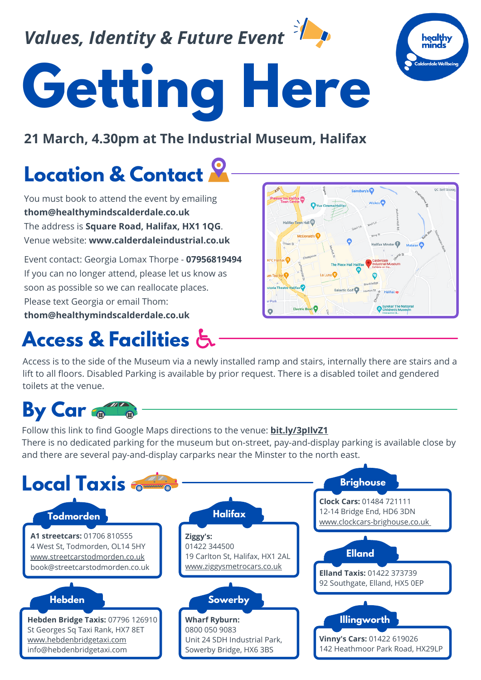*Values, Identity & Future Event*



### **21 March, 4.30pm at The Industrial Museum, Halifax**

# **Location & Contact**

You must book to attend the event by emailing **thom@healthymindscalderdale.co.uk** The address is **Square Road, Halifax, HX1 1QG**. Venue website: **www.calderdaleindustrial.co.uk**

Event contact: Georgia Lomax Thorpe - **07956819494** If you can no longer attend, please let us know as soon as possible so we can reallocate places. Please text Georgia or email Thom: **thom@healthymindscalderdale.co.uk**

### **Access & Facilities**



Access is to the side of the Museum via a newly installed ramp and stairs, internally there are stairs and a lift to all floors. Disabled Parking is available by prior request. There is a disabled toilet and gendered toilets at the venue.

## **By Car**

Follow this link to find Google Maps directions to the venue: **[bit.ly/3pIlvZ1](http://bit.ly/3pIlvZ1)** There is no dedicated parking for the museum but on-street, pay-and-display parking is available close by and there are several pay-and-display carparks near the Minster to the north east.





OC Self

Halifax Minster